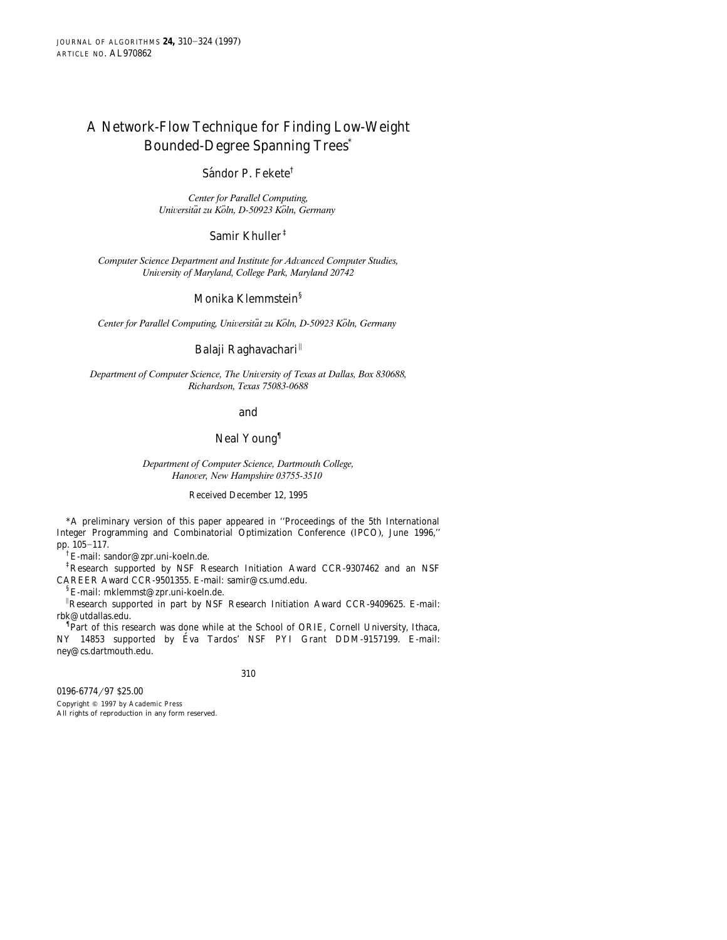# A Network-Flow Technique for Finding Low-Weight Bounded-Degree Spanning Trees\*

# Sándor P. Fekete $^{\dagger}$

*Center for Parallel Computing, Uni*¨*ersitat zu Koln, D-50923 Koln, Germany* ¨¨ ¨

# Samir Khuller ‡

*Computer Science Department and Institute for Ad*¨*anced Computer Studies, University of Maryland, College Park, Maryland 20742* 

### Monika Klemmstein§

Center for Parallel Computing, Universität zu Köln, D-50923 Köln, Germany

## Balaji Raghavachari<sup>||</sup>

*Department of Computer Science, The University of Texas at Dallas, Box 830688, Richardson, Texas 75083-0688*

#### and

# Neal Young¶

*Department of Computer Science, Dartmouth College, Hano*¨*er, New Hampshire 03755-3510*

Received December 12, 1995

\*A preliminary version of this paper appeared in ''Proceedings of the 5th International Integer Programming and Combinatorial Optimization Conference (IPCO), June 1996," pp. 105-117.

† E-mail: sandor@zpr.uni-koeln.de.

‡ Research supported by NSF Research Initiation Award CCR-9307462 and an NSF CAREER Award CCR-9501355. E-mail: samir@cs.umd.edu.

 $^{\$}$ E-mail: mklemmst@zpr.uni-koeln.de.

Research supported in part by NSF Research Initiation Award CCR-9409625. E-mail: rbk@utdallas.edu.

<sup>1</sup>Part of this research was done while at the School of ORIE, Cornell University, Ithaca, NY 14853 supported by Eva Tardos' NSF PYI Grant DDM-9157199. E-mail: ´ ney@cs.dartmouth.edu.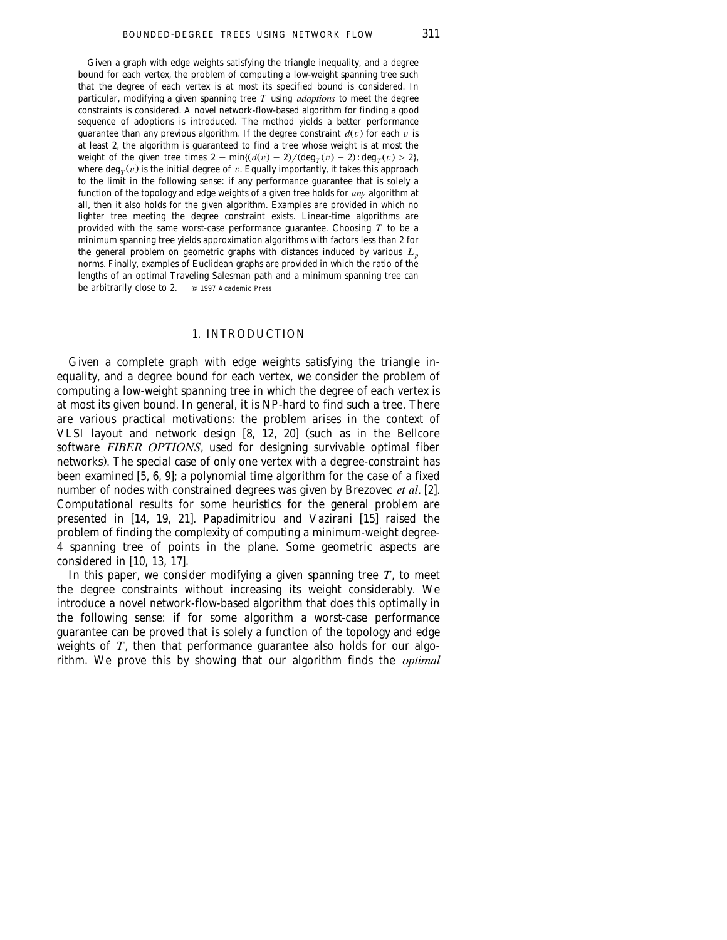Given a graph with edge weights satisfying the triangle inequality, and a degree bound for each vertex, the problem of computing a low-weight spanning tree such that the degree of each vertex is at most its specified bound is considered. In particular, modifying a given spanning tree *T* using *adoptions* to meet the degree constraints is considered. A novel network-flow-based algorithm for finding a good sequence of adoptions is introduced. The method yields a better performance guarantee than any previous algorithm. If the degree constraint  $d(v)$  for each v is at least 2, the algorithm is guaranteed to find a tree whose weight is at most the weight of the given tree times  $2 - \min\{(d(v) - 2) / (\deg_T(v) - 2) : \deg_T(v) > 2\}$ , where  $\deg_{\tau}(v)$  is the initial degree of v. Equally importantly, it takes this approach to the limit in the following sense: if any performance guarantee that is solely a function of the topology and edge weights of a given tree holds for *any* algorithm at all, then it also holds for the given algorithm. Examples are provided in which no lighter tree meeting the degree constraint exists. Linear-time algorithms are provided with the same worst-case performance guarantee. Choosing *T* to be a minimum spanning tree yields approximation algorithms with factors less than 2 for the general problem on geometric graphs with distances induced by various  $L<sub>n</sub>$ norms. Finally, examples of Euclidean graphs are provided in which the ratio of the lengths of an optimal Traveling Salesman path and a minimum spanning tree can be arbitrarily close to 2.  $\circ$  1997 Academic Press

### 1. INTRODUCTION

Given a complete graph with edge weights satisfying the triangle inequality, and a degree bound for each vertex, we consider the problem of computing a low-weight spanning tree in which the degree of each vertex is at most its given bound. In general, it is NP-hard to find such a tree. There are various practical motivations: the problem arises in the context of VLSI layout and network design  $[8, 12, 20]$  (such as in the Bellcore software *FIBER OPTIONS*, used for designing survivable optimal fiber networks). The special case of only one vertex with a degree-constraint has been examined  $[\bar{5}, 6, 9]$ ; a polynomial time algorithm for the case of a fixed number of nodes with constrained degrees was given by Brezovec *et al.* [2]. Computational results for some heuristics for the general problem are presented in [14, 19, 21]. Papadimitriou and Vazirani [15] raised the problem of finding the complexity of computing a minimum-weight degree-4 spanning tree of points in the plane. Some geometric aspects are considered in  $[10, 13, 17]$ .

In this paper, we consider modifying a given spanning tree  $T$ , to meet the degree constraints without increasing its weight considerably. We introduce a novel network-flow-based algorithm that does this optimally in the following sense: if for some algorithm a worst-case performance guarantee can be proved that is solely a function of the topology and edge weights of *T*, then that performance guarantee also holds for our algorithm. We prove this by showing that our algorithm finds the *optimal*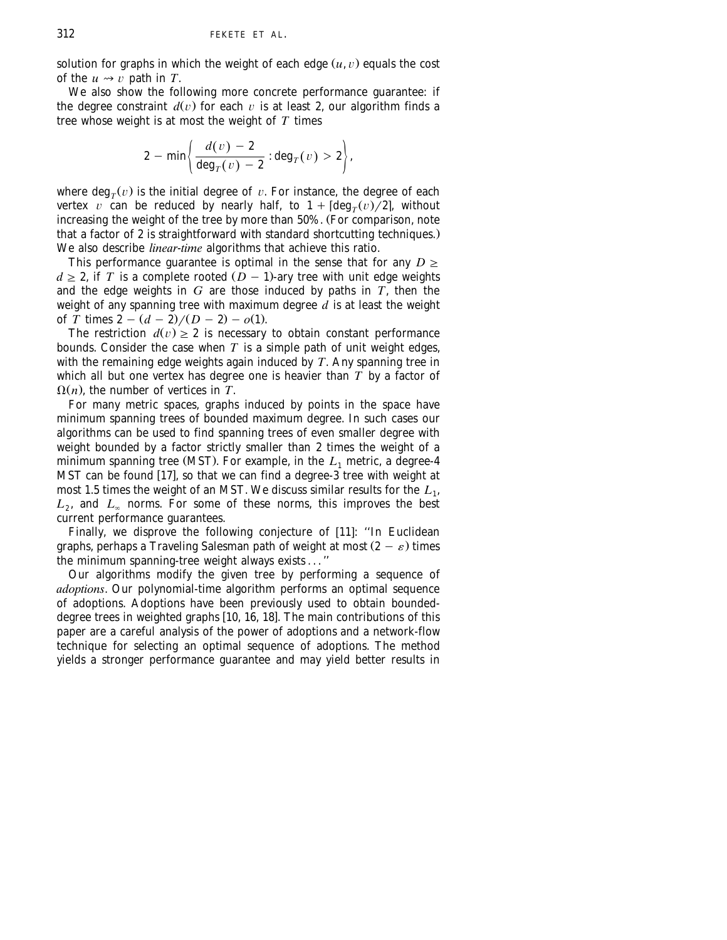solution for graphs in which the weight of each edge  $(u, v)$  equals the cost of the  $u \rightarrow v$  path in *T*.

We also show the following more concrete performance guarantee: if the degree constraint  $d(v)$  for each  $v$  is at least 2, our algorithm finds a tree whose weight is at most the weight of *T* times

$$
2-\min\bigg\{\frac{d(v)-2}{\deg_T(v)-2}:\deg_T(v)>2\bigg\},\,
$$

where  $\deg_T(v)$  is the initial degree of  $v$ . For instance, the degree of each vertex v can be reduced by nearly half, to  $1 + \lceil \deg_T(v)/2 \rceil$ , without increasing the weight of the tree by more than 50%. (For comparison, note that a factor of 2 is straightforward with standard shortcutting techniques.) We also describe *linear*-*time* algorithms that achieve this ratio.

This performance guarantee is optimal in the sense that for any  $D \geq$  $d \geq 2$ , if *T* is a complete rooted  $(D - 1)$ -ary tree with unit edge weights and the edge weights in *G* are those induced by paths in *T*, then the weight of any spanning tree with maximum degree *d* is at least the weight of  $\tilde{T}$  times  $2 - (d - 2)/(D - 2) - o(1)$ .

The restriction  $d(v) \geq 2$  is necessary to obtain constant performance bounds. Consider the case when *T* is a simple path of unit weight edges, with the remaining edge weights again induced by *T*. Any spanning tree in which all but one vertex has degree one is heavier than *T* by a factor of  $\Omega(n)$ , the number of vertices in *T*.

For many metric spaces, graphs induced by points in the space have minimum spanning trees of bounded maximum degree. In such cases our algorithms can be used to find spanning trees of even smaller degree with weight bounded by a factor strictly smaller than 2 times the weight of a minimum spanning tree (MST). For example, in the  $L_1$  metric, a degree-4  $\,$ MST can be found [17], so that we can find a degree-3 tree with weight at most 1.5 times the weight of an MST. We discuss similar results for the  $L_1$ ,  $L_2$ , and  $L_\infty$  norms. For some of these norms, this improves the best  $L_2$ , and  $L_{\infty}$  normal  $\epsilon$  is the current performance guarantees.

Finally, we disprove the following conjecture of [11]: "In Euclidean graphs, perhaps a Traveling Salesman path of weight at most  $(2 - \varepsilon)$  times the minimum spanning-tree weight always exists . . . ''

Our algorithms modify the given tree by performing a sequence of *adoptions*. Our polynomial-time algorithm performs an optimal sequence of adoptions. Adoptions have been previously used to obtain bounded-<br>degree trees in weighted graphs [10, 16, 18]. The main contributions of this paper are a careful analysis of the power of adoptions and a network-flow technique for selecting an optimal sequence of adoptions. The method yields a stronger performance guarantee and may yield better results in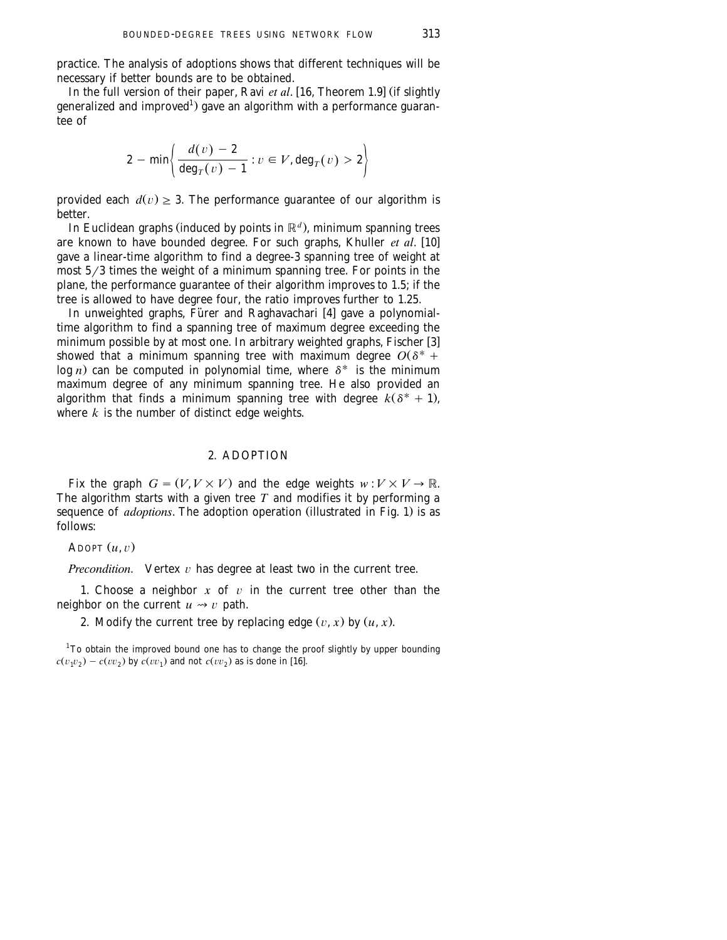practice. The analysis of adoptions shows that different techniques will be necessary if better bounds are to be obtained.

In the full version of their paper, Ravi *et al.* [16, Theorem 1.9] (if slightly  $\frac{1}{2}$  generalized and improved<sup>1</sup>) gave an algorithm with a performance guarantee of

$$
2-\min\left\{\frac{d(v)-2}{\deg_T(v)-1}:v\in V,\deg_T(v)>2\right\}
$$

provided each  $d(v) \geq 3$ . The performance guarantee of our algorithm is better.

In Euclidean graphs (induced by points in  $\mathbb{R}^d$ ), minimum spanning trees are known to have bounded degree. For such graphs, Khuller *et al.* [10] gave a linear-time algorithm to find a degree-3 spanning tree of weight at most  $5/3$  times the weight of a minimum spanning tree. For points in the plane, the performance guarantee of their algorithm improves to 1.5; if the tree is allowed to have degree four, the ratio improves further to 1.25.

In unweighted graphs, Fürer and Raghavachari [4] gave a polynomialtime algorithm to find a spanning tree of maximum degree exceeding the minimum possible by at most one. In arbitrary weighted graphs, Fischer [3] showed that a minimum spanning tree with maximum degree  $O(\delta^* +$  $log n$  can be computed in polynomial time, where  $\delta^*$  is the minimum maximum degree of any minimum spanning tree. He also provided an algorithm that finds a minimum spanning tree with degree  $k(\delta^* + 1)$ , where  $k$  is the number of distinct edge weights.

# 2. ADOPTION

Fix the graph  $G = (V, V \times V)$  and the edge weights  $w: V \times V \rightarrow \mathbb{R}$ . The algorithm starts with a given tree *T* and modifies it by performing a sequence of *adoptions*. The adoption operation (illustrated in Fig. 1) is as follows:

ADOPT  $(u, v)$ 

*Precondition.* Vertex  $v$  has degree at least two in the current tree.

1. Choose a neighbor  $x$  of  $v$  in the current tree other than the neighbor on the current  $u \rightarrow v$  path.

2. Modify the current tree by replacing edge  $(v, x)$  by  $(u, x)$ .

<sup>&</sup>lt;sup>1</sup>To obtain the improved bound one has to change the proof slightly by upper bounding  $c(v_1v_2) - c(v_2)$  by  $c(v_1)$  and not  $c(v_2)$  as is done in [16].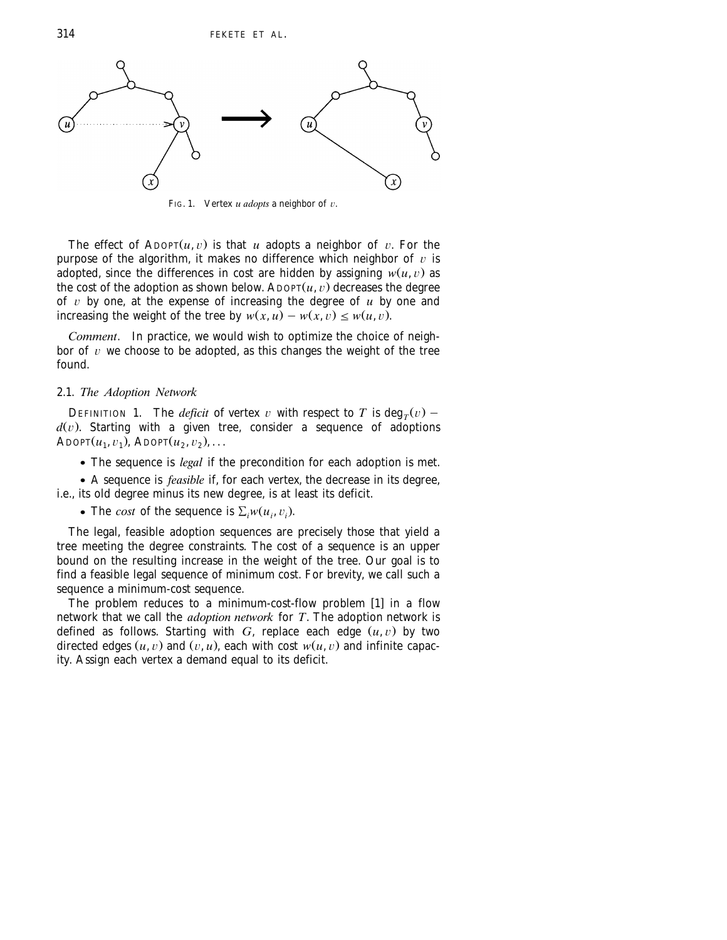

FIG. 1. Vertex *u adopts* a neighbor of *v*.

The effect of  $ADOPT(u, v)$  is that *u* adopts a neighbor of *v*. For the purpose of the algorithm, it makes no difference which neighbor of  $v$  is adopted, since the differences in cost are hidden by assigning  $w(u, v)$  as the cost of the adoption as shown below. ADOPT $(u, v)$  decreases the degree of  $v$  by one, at the expense of increasing the degree of  $u$  by one and increasing the weight of the tree by  $w(x, u) - w(x, v) \leq w(u, v)$ .

*Comment*. In practice, we would wish to optimize the choice of neighbor of  $v$  we choose to be adopted, as this changes the weight of the tree found.

#### 2.1. *The Adoption Network*

DEFINITION 1. The *deficit* of vertex v with respect to T is  $\deg_T(v)$  –  $d(v)$ . Starting with a given tree, consider a sequence of adoptions ADOPT $(u_1, v_1)$ , ADOPT $(u_2, v_2)$ , ...

• The sequence is *legal* if the precondition for each adoption is met.

<sup>v</sup> A sequence is *feasible* if, for each vertex, the decrease in its degree, i.e., its old degree minus its new degree, is at least its deficit.

• The *cost* of the sequence is  $\Sigma_i w(u_i, v_i)$ .

The legal, feasible adoption sequences are precisely those that yield a tree meeting the degree constraints. The cost of a sequence is an upper bound on the resulting increase in the weight of the tree. Our goal is to find a feasible legal sequence of minimum cost. For brevity, we call such a sequence a minimum-cost sequence.

The problem reduces to a minimum-cost-flow problem  $[1]$  in a flow network that we call the *adoption network* for *T*. The adoption network is defined as follows. Starting with *G*, replace each edge  $(u, v)$  by two directed edges  $(u, v)$  and  $(v, u)$ , each with cost  $w(u, v)$  and infinite capacity. Assign each vertex a demand equal to its deficit.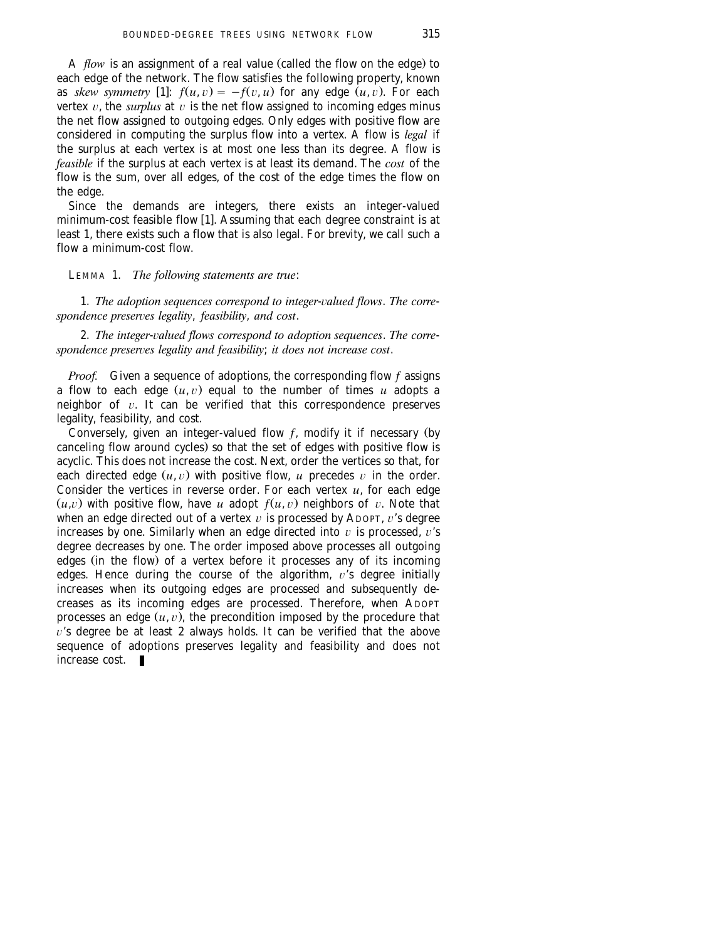A *flow* is an assignment of a real value (called the flow on the edge) to each edge of the network. The flow satisfies the following property, known as *skew symmetry* [1]:  $f(u, v) = -f(v, u)$  for any edge  $(u, v)$ . For each vertex  $v$ , the *surplus* at  $v$  is the net flow assigned to incoming edges minus the net flow assigned to outgoing edges. Only edges with positive flow are considered in computing the surplus flow into a vertex. A flow is *legal* if the surplus at each vertex is at most one less than its degree. A flow is *feasible* if the surplus at each vertex is at least its demand. The *cost* of the flow is the sum, over all edges, of the cost of the edge times the flow on the edge.

Since the demands are integers, there exists an integer-valued minimum-cost feasible flow [1]. Assuming that each degree constraint is at least 1, there exists such a flow that is also legal. For brevity, we call such a flow a minimum-cost flow.

LEMMA 1. *The following statements are true*:

1. *The adoption sequences correspond to integer-valued flows. The correspondence preser*¨*es legality*, *feasibility*, *and cost*.

2. *The integer-valued flows correspond to adoption sequences. The correspondence preserves legality and feasibility; it does not increase cost.* 

*Proof.* Given a sequence of adoptions, the corresponding flow *f* assigns a flow to each edge  $(u, v)$  equal to the number of times *u* adopts a neighbor of  $v$ . It can be verified that this correspondence preserves legality, feasibility, and cost.

Conversely, given an integer-valued flow  $f$ , modify it if necessary (by canceling flow around cycles) so that the set of edges with positive flow is acyclic. This does not increase the cost. Next, order the vertices so that, for each directed edge  $(u, v)$  with positive flow, *u* precedes v in the order. Consider the vertices in reverse order. For each vertex  $u$ , for each edge  $(u, v)$  with positive flow, have *u* adopt  $f(u, v)$  neighbors of *v*. Note that when an edge directed out of a vertex  $v$  is processed by ADOPT,  $v$ 's degree increases by one. Similarly when an edge directed into  $v$  is processed,  $v$ 's degree decreases by one. The order imposed above processes all outgoing edges (in the flow) of a vertex before it processes any of its incoming edges. Hence during the course of the algorithm,  $v$ 's degree initially increases when its outgoing edges are processed and subsequently decreases as its incoming edges are processed. Therefore, when ADOPT processes an edge  $(u, v)$ , the precondition imposed by the procedure that  $\overline{v}$ 's degree be at least 2 always holds. It can be verified that the above sequence of adoptions preserves legality and feasibility and does not increase cost.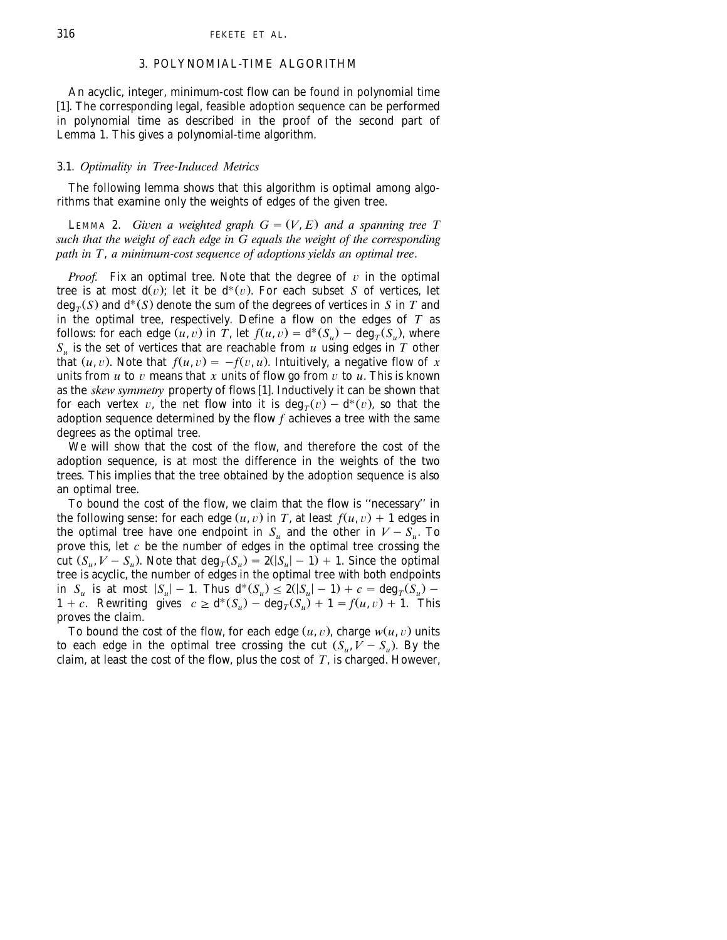#### 3. POLYNOMIAL-TIME ALGORITHM

An acyclic, integer, minimum-cost flow can be found in polynomial time [1]. The corresponding legal, feasible adoption sequence can be performed in polynomial time as described in the proof of the second part of Lemma 1. This gives a polynomial-time algorithm.

### 3.1. *Optimality in Tree*-*Induced Metrics*

The following lemma shows that this algorithm is optimal among algorithms that examine only the weights of edges of the given tree.

LEMMA 2. *Given a weighted graph*  $G = (V, E)$  *and a spanning tree*  $T$ *such that the weight of each edge in G equals the weight of the corresponding path in T*, *a minimum*-*cost sequence of adoptions yields an optimal tree*.

*Proof.* Fix an optimal tree. Note that the degree of  $v$  in the optimal tree is at most  $d(v)$ ; let it be  $d^*(v)$ . For each subset *S* of vertices, let  $\deg_{\tau}(S)$  and  $d^*(S)$  denote the sum of the degrees of vertices in *S* in *T* and in the optimal tree, respectively. Define a flow on the edges of *T* as follows: for each edge  $(u, v)$  in  $\tilde{T}$ , let  $f(u, v) = d^*(S_u) - deg_T(S_u)$ , where  $S_u$  is the set of vertices that are reachable from *u* using edges in *T* other that  $(u, v)$ . Note that  $f(u, v) = -f(v, u)$ . Intuitively, a negative flow of *x* units from  $u$  to  $v$  means that  $x$  units of flow go from  $v$  to  $u$ . This is known as the *skew symmetry* property of flows [1]. Inductively it can be shown that for each vertex v, the net flow into it is  $deg_T(v) - d^*(v)$ , so that the adoption sequence determined by the flow  $f$  achieves a tree with the same degrees as the optimal tree.

We will show that the cost of the flow, and therefore the cost of the adoption sequence, is at most the difference in the weights of the two trees. This implies that the tree obtained by the adoption sequence is also an optimal tree.

To bound the cost of the flow, we claim that the flow is ''necessary'' in the following sense: for each edge  $(u, v)$  in *T*, at least  $f(u, v) + 1$  edges in the optimal tree have one endpoint in  $S_u$  and the other in  $V - S_u$ . To prove this, let *c* be the number of edges in the optimal tree crossing the cut  $(S_u, V - S_u)$ . Note that  $\deg_{\mathcal{T}}(S_u) = 2(|S_u| - 1) + 1$ . Since the optimal tree is acyclic, the number of edges in the optimal tree with both endpoints in  $S_u$  is at most  $|S_u| - 1$ . Thus  $d^*(S_u) \le 2(|S_u| - 1) + c = deg_T(S_u) - 1 + c$ . Rewriting gives  $c \ge d^*(S_u) - deg_T(S_u) + 1 = f(u, v) + 1$ . This proves the claim.

To bound the cost of the flow, for each edge  $(u, v)$ , charge  $w(u, v)$  units to each edge in the optimal tree crossing the cut  $(S_u, \tilde{V} - S_u)$ . By the claim, at least the cost of the flow, plus the cost of *T*, is charged. However,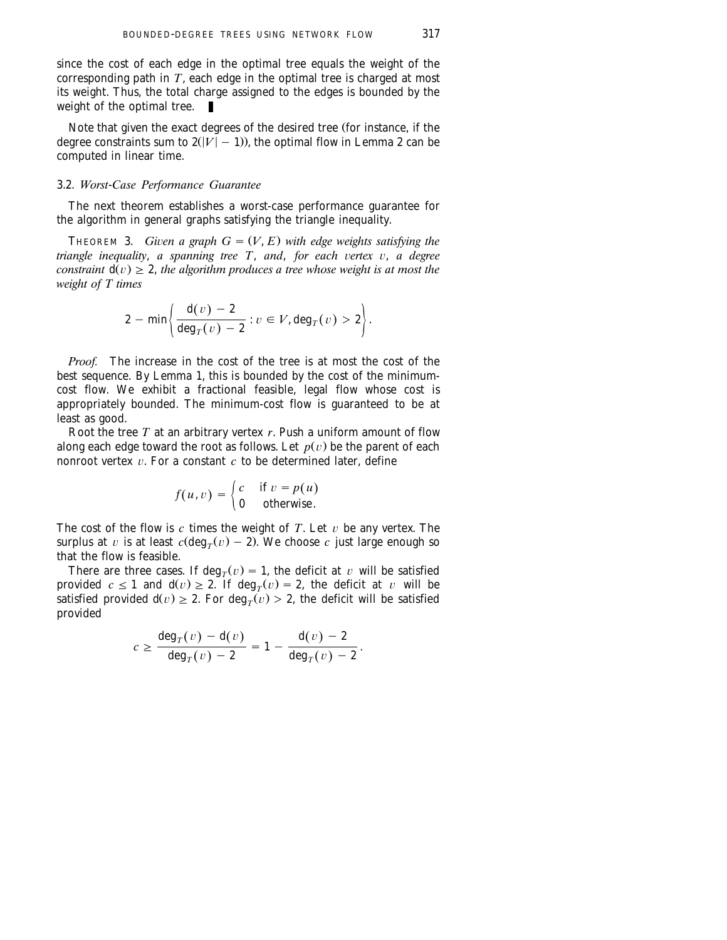since the cost of each edge in the optimal tree equals the weight of the corresponding path in  $T$ , each edge in the optimal tree is charged at most its weight. Thus, the total charge assigned to the edges is bounded by the weight of the optimal tree.

Note that given the exact degrees of the desired tree (for instance, if the degree constraints sum to  $2(|V|-1)$ ), the optimal flow in Lemma 2 can be computed in linear time.

#### 3.2. *Worst*-*Case Performance Guarantee*

The next theorem establishes a worst-case performance guarantee for the algorithm in general graphs satisfying the triangle inequality.

**THEOREM 3.** *Given a graph G* =  $(V, E)$  *with edge weights satisfying the triangle inequality, a spanning tree T, and, for each vertex v, a degree constraint*  $\mathbf{d}(v) \geq 2$ , *the algorithm produces a tree whose weight is at most the weight of T times*

$$
2-\min\bigg\{\frac{d(v)-2}{\deg_T(v)-2}:v\in V,\deg_T(v)>2\bigg\}.
$$

*Proof.* The increase in the cost of the tree is at most the cost of the best sequence. By Lemma 1, this is bounded by the cost of the minimumcost flow. We exhibit a fractional feasible, legal flow whose cost is appropriately bounded. The minimum-cost flow is guaranteed to be at least as good.

Root the tree *T* at an arbitrary vertex *r*. Push a uniform amount of flow along each edge toward the root as follows. Let  $p(v)$  be the parent of each nonroot vertex  $v$ . For a constant  $c$  to be determined later, define

$$
f(u,v) = \begin{cases} c & \text{if } v = p(u) \\ 0 & \text{otherwise.} \end{cases}
$$

The cost of the flow is  $c$  times the weight of  $T$ . Let  $v$  be any vertex. The surplus at v is at least  $c(\deg_T(v) - 2)$ . We choose c just large enough so that the flow is feasible.

There are three cases. If  $\deg_{\tau}(v) = 1$ , the deficit at v will be satisfied provided  $c \le 1$  and  $d(v) \ge 2$ . If deg<sub>*T*</sub>(*v*) = 2, the deficit at *v* will be satisfied provided  $d(v) \ge 2$ . For deg<sub>*T*</sub>(*v*) > 2, the deficit will be satisfied provided

$$
c \geq \frac{\deg_T(v) - d(v)}{\deg_T(v) - 2} = 1 - \frac{d(v) - 2}{\deg_T(v) - 2}.
$$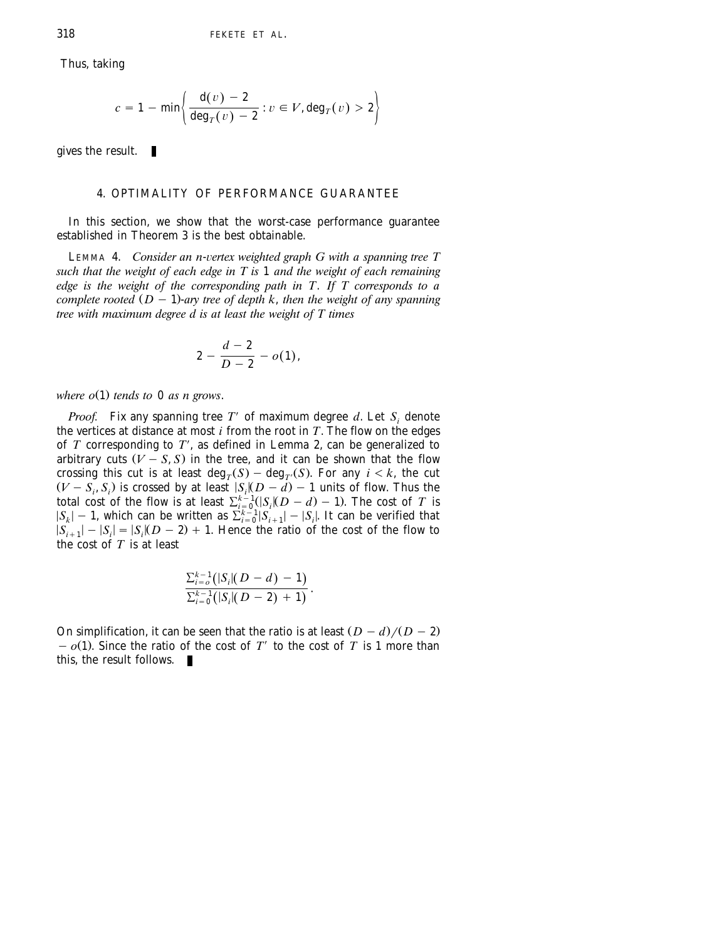Thus, taking

$$
c = 1 - \min\left\{\frac{d(v) - 2}{\deg_T(v) - 2} : v \in V, \deg_T(v) > 2\right\}
$$

gives the result.  $\blacksquare$ 

#### 4. OPTIMALITY OF PERFORMANCE GUARANTEE

In this section, we show that the worst-case performance guarantee established in Theorem 3 is the best obtainable.

LEMMA 4. *Consider an n-vertex weighted graph G with a spanning tree T such that the weight of each edge in T is* 1 *and the weight of each remaining edge is the weight of the corresponding path in T*. *If T corresponds to a complete rooted*  $(D - 1)$ *-ary tree of depth k, then the weight of any spanning tree with maximum degree d is at least the weight of T times*

$$
2 - \frac{d-2}{D-2} - o(1),
$$

*where*  $o(1)$  *tends to* 0 *as n grows.* 

*Proof.* Fix any spanning tree  $T'$  of maximum degree  $d$ . Let  $S_i$  denote the vertices at distance at most *i* from the root in *T*. The flow on the edges of  $T$  corresponding to  $T'$ , as defined in Lemma 2, can be generalized to arbitrary cuts  $(V - S, S)$  in the tree, and it can be shown that the flow crossing this cut is at least  $\deg_{\tau}(S) - \deg_{\tau'}(S)$ . For any  $i < k$ , the cut  $(V - S_i, S_i)$  is crossed by at least  $|S_i|(D - d) - 1$  units of flow. Thus the total cost of the flow is at least  $\sum_{i=0}^{k-1} (|S_i|(D-d) - 1)$ . The cost of *T* is  $|S_k| - 1$ , which can be written as  $\sum_{i=0}^{k-1} |S_{i+1}| - |S_i|$ . It can be verified that  $|S_{i+1}| - |S_i| = |S_i|(D-2) + 1$ . Hence the ratio of the cost of the flow to the cost of *T* is at least

$$
\frac{\sum_{i=0}^{k-1} (|S_i| (D-d) - 1)}{\sum_{i=0}^{k-1} (|S_i| (D-2) + 1)}.
$$

On simplification, it can be seen that the ratio is at least  $(D - d)/(D - 2)$  $-\varrho(1)$ . Since the ratio of the cost of *T'* to the cost of *T* is 1 more than this, the result follows.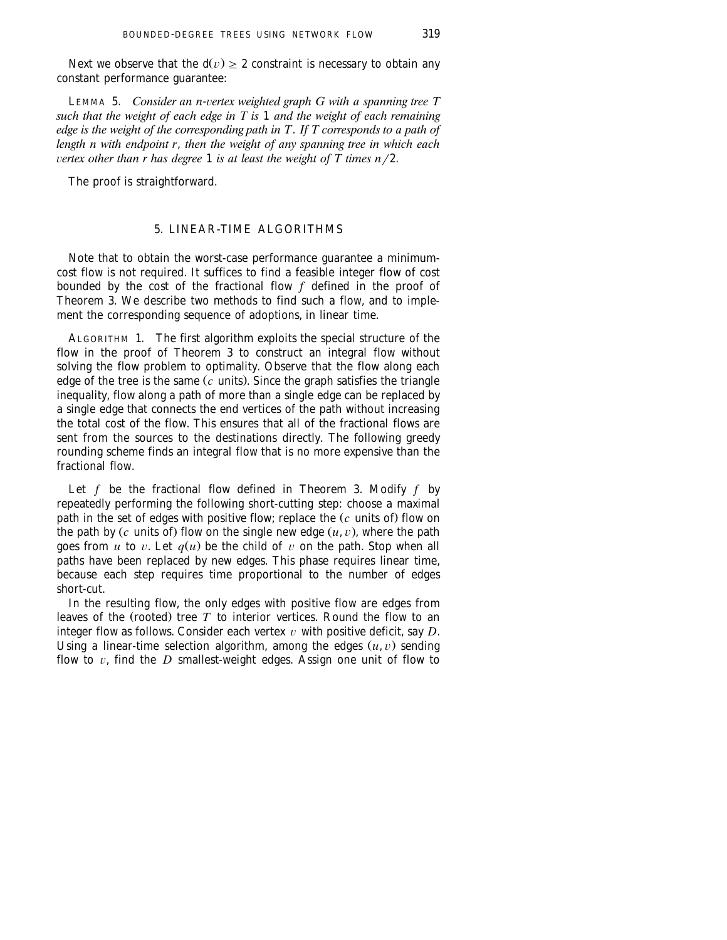Next we observe that the  $d(v) \ge 2$  constraint is necessary to obtain any constant performance guarantee:

LEMMA 5. *Consider an n-vertex weighted graph G with a spanning tree T such that the weight of each edge in T is* 1 *and the weight of each remaining edge is the weight of the corresponding path in T*. *If T corresponds to a path of length n with endpoint r*, *then the weight of any spanning tree in which each* vertex other than *r* has degree 1 is at least the weight of  $\overline{T}$  times  $n/2$ .

The proof is straightforward.

#### 5. LINEAR-TIME ALGORITHMS

Note that to obtain the worst-case performance guarantee a minimumcost flow is not required. It suffices to find a feasible integer flow of cost bounded by the cost of the fractional flow  $f$  defined in the proof of Theorem 3. We describe two methods to find such a flow, and to implement the corresponding sequence of adoptions, in linear time.

ALGORITHM 1. The first algorithm exploits the special structure of the flow in the proof of Theorem 3 to construct an integral flow without solving the flow problem to optimality. Observe that the flow along each edge of the tree is the same  $(c \text{ units})$ . Since the graph satisfies the triangle inequality, flow along a path of more than a single edge can be replaced by a single edge that connects the end vertices of the path without increasing the total cost of the flow. This ensures that all of the fractional flows are sent from the sources to the destinations directly. The following greedy rounding scheme finds an integral flow that is no more expensive than the fractional flow.

Let *f* be the fractional flow defined in Theorem 3. Modify *f* by repeatedly performing the following short-cutting step: choose a maximal path in the set of edges with positive flow; replace the (*c* units of) flow on the path by  $(c$  units of flow on the single new edge  $(u, v)$ , where the path goes from *u* to *v*. Let  $q(u)$  be the child of *v* on the path. Stop when all paths have been replaced by new edges. This phase requires linear time, because each step requires time proportional to the number of edges short-cut.

In the resulting flow, the only edges with positive flow are edges from leaves of the (rooted) tree  $T$  to interior vertices. Round the flow to an integer flow as follows. Consider each vertex  $v$  with positive deficit, say  $D$ . Using a linear-time selection algorithm, among the edges  $(u, v)$  sending flow to  $v$ , find the  $D$  smallest-weight edges. Assign one unit of flow to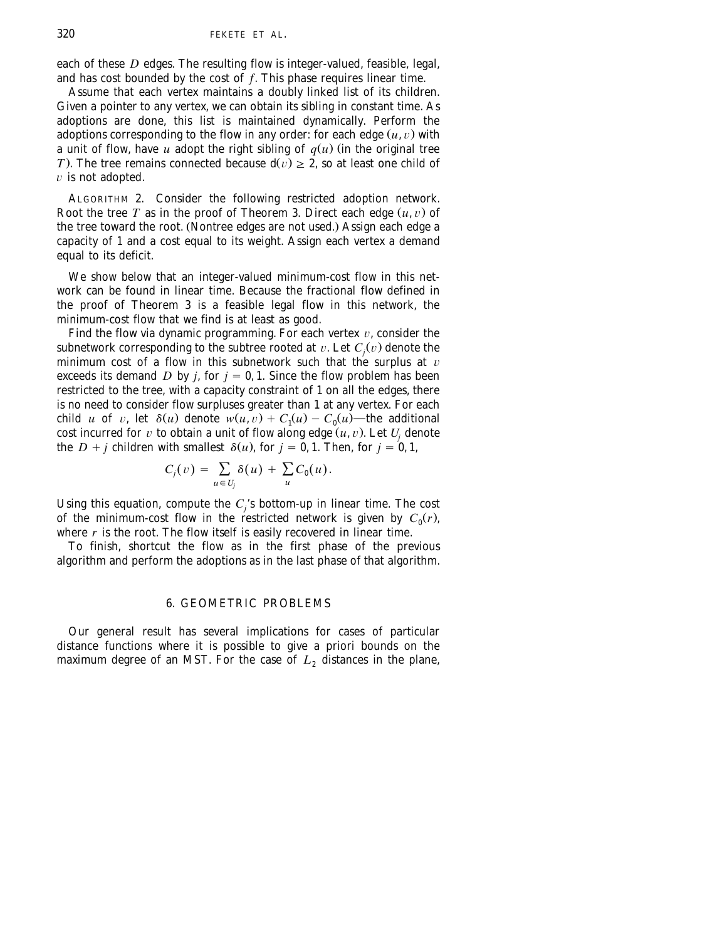each of these *D* edges. The resulting flow is integer-valued, feasible, legal, and has cost bounded by the cost of *f*. This phase requires linear time.

Assume that each vertex maintains a doubly linked list of its children. Given a pointer to any vertex, we can obtain its sibling in constant time. As adoptions are done, this list is maintained dynamically. Perform the adoptions corresponding to the flow in any order: for each edge  $(u, v)$  with a unit of flow, have  $u$  adopt the right sibling of  $q(u)$  (in the original tree *T*). The tree remains connected because  $d(v) \ge 2$ , so at least one child of  $v$  is not adopted.

ALGORITHM 2. Consider the following restricted adoption network. Root the tree  $T$  as in the proof of Theorem 3. Direct each edge  $(u, v)$  of the tree toward the root. (Nontree edges are not used.) Assign each edge a capacity of 1 and a cost equal to its weight. Assign each vertex a demand equal to its deficit.

We show below that an integer-valued minimum-cost flow in this network can be found in linear time. Because the fractional flow defined in the proof of Theorem 3 is a feasible legal flow in this network, the minimum-cost flow that we find is at least as good.

Find the flow via dynamic programming. For each vertex  $v$ , consider the subnetwork corresponding to the subtree rooted at  $v$ . Let  $C_j(v)$  denote the minimum cost of a flow in this subnetwork such that the surplus at  $v$ exceeds its demand *D* by *j*, for  $j = 0, 1$ . Since the flow problem has been restricted to the tree, with a capacity constraint of 1 on all the edges, there is no need to consider flow surpluses greater than 1 at any vertex. For each child *u* of *v*, let  $\delta(u)$  denote  $w(u, v) + C_1(u) - C_0(u)$ —the additional cost incurred for  $v$  to obtain a unit of flow along edge  $(u, v)$ . Let  $U_j$  denote the *D* + *j* children with smallest  $\delta(u)$ , for *j* = 0, 1. Then, for *j* = 0, 1,

$$
C_j(v) = \sum_{u \in U_j} \delta(u) + \sum_u C_0(u).
$$

Using this equation, compute the  $C_j$ 's bottom-up in linear time. The cost of the minimum-cost flow in the restricted network is given by  $C_0(r)$ , where  $r$  is the root. The flow itself is easily recovered in linear time.

To finish, shortcut the flow as in the first phase of the previous algorithm and perform the adoptions as in the last phase of that algorithm.

#### 6. GEOMETRIC PROBLEMS

Our general result has several implications for cases of particular distance functions where it is possible to give a priori bounds on the maximum degree of an MST. For the case of  $L_2$  distances in the plane,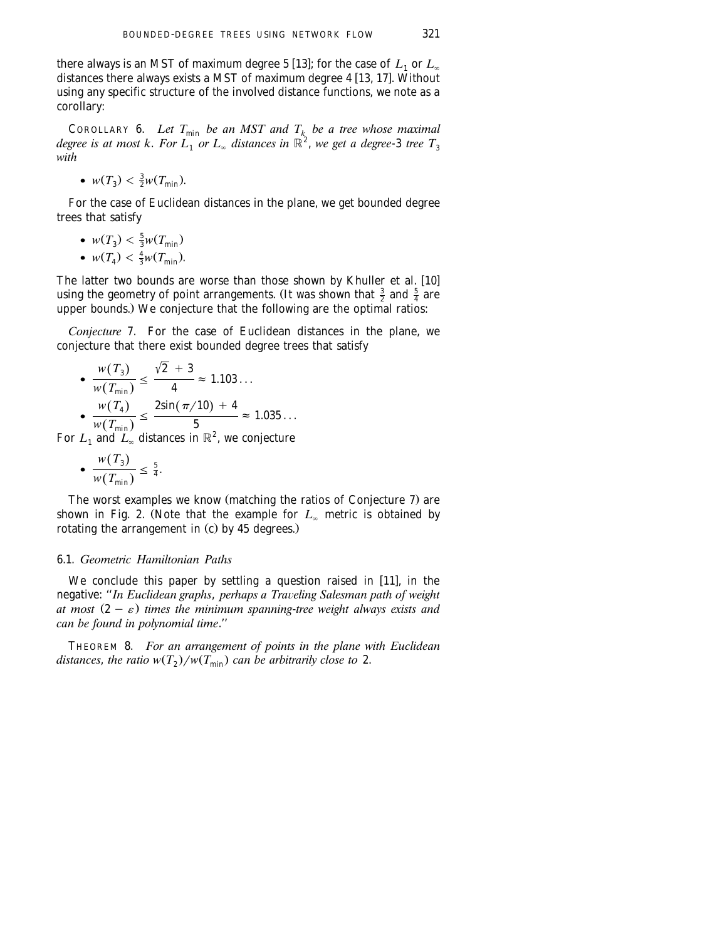there always is an MST of maximum degree 5 [13]; for the case of  $L_1$  or  $L_{\infty}$ distances there always exists a MST of maximum degree 4 [13, 17]. Without using any specific structure of the involved distance functions, we note as a corollary:

COROLLARY 6. Let  $T_{\min}$  be an MST and  $T_k$  be a tree whose maximal degree is at most k. For  $L_1$  or  $L_{\infty}$  distances in  $\mathbb{R}^2$ , we get a degree- $3$  tree  $T_3$ *with*

•  $w(T_3) < \frac{3}{2}w(T_{\min}).$ 

For the case of Euclidean distances in the plane, we get bounded degree trees that satisfy

- $w(T_3) < \frac{5}{3}w(T_{\min})$
- $w(T_4) < \frac{4}{3}w(T_{\min}).$

The latter two bounds are worse than those shown by Khuller et al. [10] using the geometry of point arrangements. (It was shown that  $\frac{3}{2}$  and  $\frac{5}{4}$  are upper bounds.) We conjecture that the following are the optimal ratios:

*Conjecture* 7. For the case of Euclidean distances in the plane, we conjecture that there exist bounded degree trees that satisfy

• 
$$
\frac{w(T_3)}{w(T_{\min})} \le \frac{\sqrt{2} + 3}{4} \approx 1.103...
$$
  
• 
$$
\frac{w(T_4)}{w(T_{\min})} \le \frac{2\sin(\pi/10) + 4}{5} \approx 1.035...
$$

For  $L_1$  and  $\overline{L}_{\infty}$  distances in  $\mathbb{R}^2$ , we conjecture

$$
\bullet \ \frac{w(T_3)}{w(T_{\min})} \leq \frac{5}{4}.
$$

The worst examples we know (matching the ratios of Conjecture 7) are shown in Fig. 2. (Note that the example for  $L_{\infty}$  metric is obtained by rotating the arrangement in  $(c)$  by 45 degrees.)

### 6.1. *Geometric Hamiltonian Paths*

We conclude this paper by settling a question raised in  $[11]$ , in the negative: ''*In Euclidean graphs*, *perhaps a Tra*¨*eling Salesman path of weight* at most  $(2 - \varepsilon)$  times the minimum spanning-tree weight always exists and *can be found in polynomial time*.''

THEOREM 8. *For an arrangement of points in the plane with Euclidean distances, the ratio*  $w(T_2)/w(T_{\min})$  *can be arbitrarily close to* 2.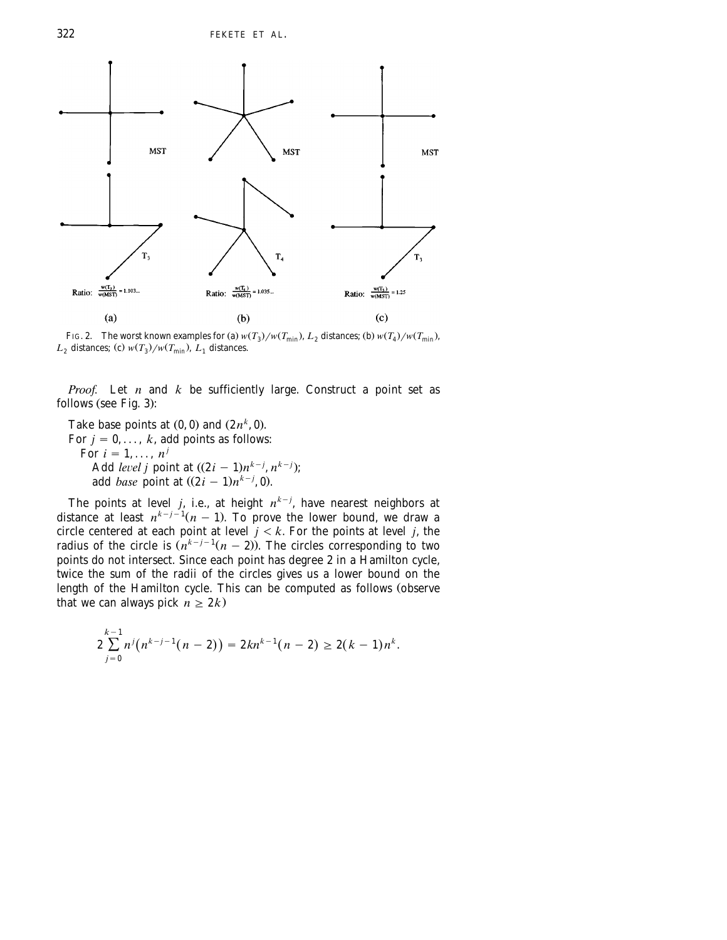

FIG. 2. The worst known examples for (a)  $w(T_3)/w(T_{\min})$ ,  $L_2$  distances; (b)  $w(T_4)/w(T_{\min})$ ,  $L_2$  distances; (c)  $w(T_3)/w(T_{\min})$ ,  $L_1$  distances.

*Proof.* Let *n* and *k* be sufficiently large. Construct a point set as follows (see Fig.  $3$ ):

Take base points at  $(0, 0)$  and  $(2n^k, 0)$ . For  $j = 0, \ldots, k$ , add points as follows: For  $i = 1, \ldots, n^j$ Add *level j* point at  $((2i - 1)n^{k-j}, n^{k-j})$ ; add *base* point at  $((2i - 1)n^{k-j}, 0)$ .

The points at level *j*, i.e., at height  $n^{k-j}$ , have nearest neighbors at distance at least  $n^{k-j-1}(n-1)$ . To prove the lower bound, we draw a circle centered at each point at level  $j < k$ . For the points at level *j*, the radius of the circle is  $(n^{k-j-1}(n-2))$ . The circles corresponding to two points do not intersect. Since each point has degree 2 in a Hamilton cycle, twice the sum of the radii of the circles gives us a lower bound on the length of the Hamilton cycle. This can be computed as follows (observe that we can always pick  $n \geq 2k$ .

$$
2\sum_{j=0}^{k-1} n^j (n^{k-j-1}(n-2)) = 2kn^{k-1}(n-2) \ge 2(k-1)n^k.
$$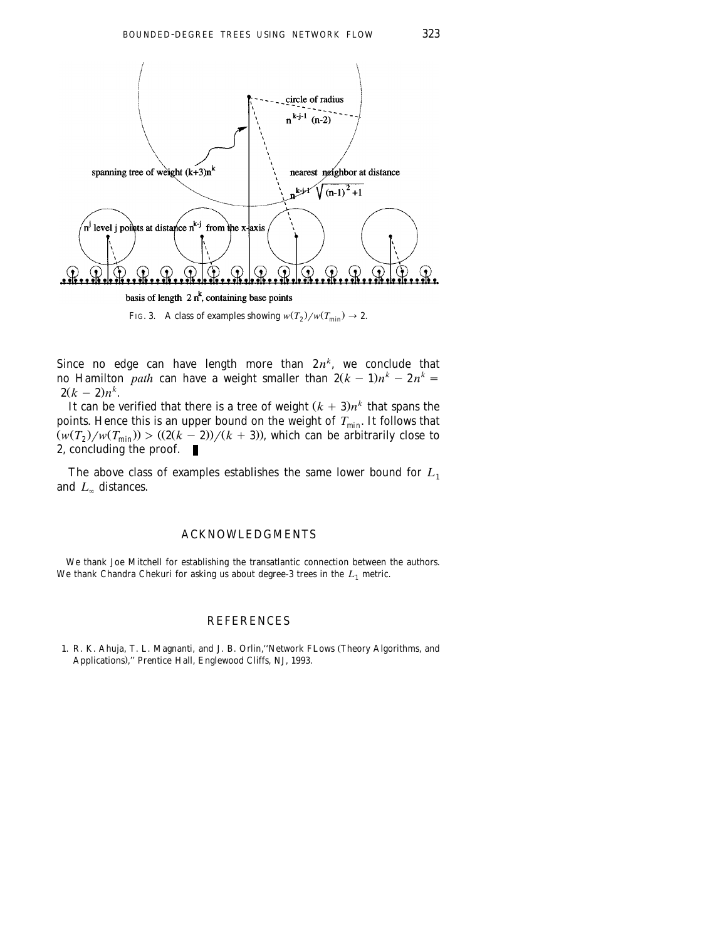

FIG. 3. A class of examples showing  $w(T_2)/w(T_{\min}) \to 2$ .

Since no edge can have length more than  $2n^k$ , we conclude that no Hamilton *path* can have a weight smaller than  $2(k - 1)n^k - 2n^k =$  $2(k - 2)n^{k}$ .

It can be verified that there is a tree of weight  $(k + 3)n^k$  that spans the points. Hence this is an upper bound on the weight of  $T_{\text{min}}$ . It follows that  $(w(T_2)/w(T_{\min}))$   $\geq$   $((2(k-2))/(k+3))$ , which can be arbitrarily close to 2, concluding the proof.

The above class of examples establishes the same lower bound for  $L_1$ and  $L_{\infty}$  distances.

#### ACKNOWLEDGMENTS

We thank Joe Mitchell for establishing the transatlantic connection between the authors. We thank Chandra Chekuri for asking us about degree-3 trees in the  $L_1$  metric.

#### **REFERENCES**

1. R. K. Ahuja, T. L. Magnanti, and J. B. Orlin,''Network FLows Theory Algorithms, and Ž Applications)," Prentice Hall, Englewood Cliffs, NJ, 1993.